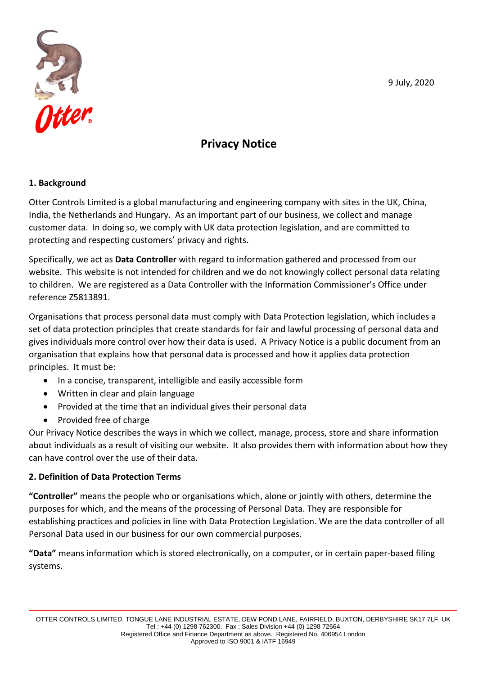9 July, 2020



# **Privacy Notice**

#### **1. Background**

Otter Controls Limited is a global manufacturing and engineering company with sites in the UK, China, India, the Netherlands and Hungary. As an important part of our business, we collect and manage customer data. In doing so, we comply with UK data protection legislation, and are committed to protecting and respecting customers' privacy and rights.

Specifically, we act as **Data Controller** with regard to information gathered and processed from our website. This website is not intended for children and we do not knowingly collect personal data relating to children. We are registered as a Data Controller with the Information Commissioner's Office under reference Z5813891.

Organisations that process personal data must comply with Data Protection legislation, which includes a set of data protection principles that create standards for fair and lawful processing of personal data and gives individuals more control over how their data is used. A Privacy Notice is a public document from an organisation that explains how that personal data is processed and how it applies data protection principles. It must be:

- In a concise, transparent, intelligible and easily accessible form
- Written in clear and plain language
- Provided at the time that an individual gives their personal data
- Provided free of charge

Our Privacy Notice describes the ways in which we collect, manage, process, store and share information about individuals as a result of visiting our website. It also provides them with information about how they can have control over the use of their data.

#### **2. Definition of Data Protection Terms**

**"Controller"** means the people who or organisations which, alone or jointly with others, determine the purposes for which, and the means of the processing of Personal Data. They are responsible for establishing practices and policies in line with Data Protection Legislation. We are the data controller of all Personal Data used in our business for our own commercial purposes.

**"Data"** means information which is stored electronically, on a computer, or in certain paper-based filing systems.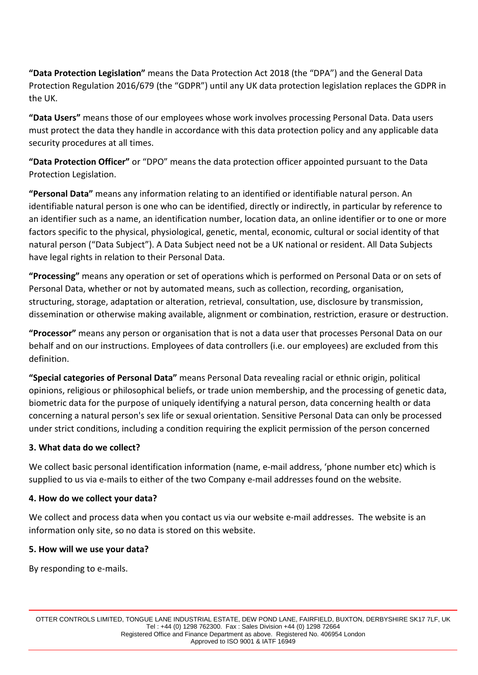**"Data Protection Legislation"** means the Data Protection Act 2018 (the "DPA") and the General Data Protection Regulation 2016/679 (the "GDPR") until any UK data protection legislation replaces the GDPR in the UK.

**"Data Users"** means those of our employees whose work involves processing Personal Data. Data users must protect the data they handle in accordance with this data protection policy and any applicable data security procedures at all times.

**"Data Protection Officer"** or "DPO" means the data protection officer appointed pursuant to the Data Protection Legislation.

**"Personal Data"** means any information relating to an identified or identifiable natural person. An identifiable natural person is one who can be identified, directly or indirectly, in particular by reference to an identifier such as a name, an identification number, location data, an online identifier or to one or more factors specific to the physical, physiological, genetic, mental, economic, cultural or social identity of that natural person ("Data Subject"). A Data Subject need not be a UK national or resident. All Data Subjects have legal rights in relation to their Personal Data.

**"Processing"** means any operation or set of operations which is performed on Personal Data or on sets of Personal Data, whether or not by automated means, such as collection, recording, organisation, structuring, storage, adaptation or alteration, retrieval, consultation, use, disclosure by transmission, dissemination or otherwise making available, alignment or combination, restriction, erasure or destruction.

**"Processor"** means any person or organisation that is not a data user that processes Personal Data on our behalf and on our instructions. Employees of data controllers (i.e. our employees) are excluded from this definition.

**"Special categories of Personal Data"** means Personal Data revealing racial or ethnic origin, political opinions, religious or philosophical beliefs, or trade union membership, and the processing of genetic data, biometric data for the purpose of uniquely identifying a natural person, data concerning health or data concerning a natural person's sex life or sexual orientation. Sensitive Personal Data can only be processed under strict conditions, including a condition requiring the explicit permission of the person concerned

# **3. What data do we collect?**

We collect basic personal identification information (name, e-mail address, 'phone number etc) which is supplied to us via e-mails to either of the two Company e-mail addresses found on the website.

#### **4. How do we collect your data?**

We collect and process data when you contact us via our website e-mail addresses. The website is an information only site, so no data is stored on this website.

#### **5. How will we use your data?**

By responding to e-mails.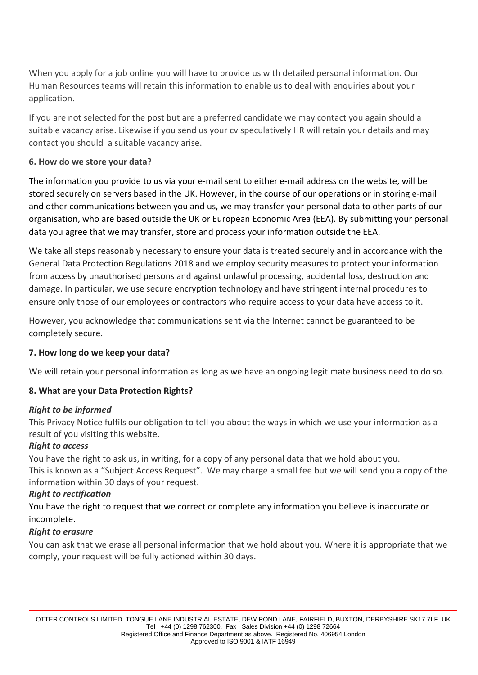When you apply for a job online you will have to provide us with detailed personal information. Our Human Resources teams will retain this information to enable us to deal with enquiries about your application.

If you are not selected for the post but are a preferred candidate we may contact you again should a suitable vacancy arise. Likewise if you send us your cv speculatively HR will retain your details and may contact you should a suitable vacancy arise.

## **6. How do we store your data?**

The information you provide to us via your e-mail sent to either e-mail address on the website, will be stored securely on servers based in the UK. However, in the course of our operations or in storing e-mail and other communications between you and us, we may transfer your personal data to other parts of our organisation, who are based outside the UK or European Economic Area (EEA). By submitting your personal data you agree that we may transfer, store and process your information outside the EEA.

We take all steps reasonably necessary to ensure your data is treated securely and in accordance with the General Data Protection Regulations 2018 and we employ security measures to protect your information from access by unauthorised persons and against unlawful processing, accidental loss, destruction and damage. In particular, we use secure encryption technology and have stringent internal procedures to ensure only those of our employees or contractors who require access to your data have access to it.

However, you acknowledge that communications sent via the Internet cannot be guaranteed to be completely secure.

#### **7. How long do we keep your data?**

We will retain your personal information as long as we have an ongoing legitimate business need to do so.

#### **8. What are your Data Protection Rights?**

#### *Right to be informed*

This Privacy Notice fulfils our obligation to tell you about the ways in which we use your information as a result of you visiting this website.

#### *Right to access*

You have the right to ask us, in writing, for a copy of any personal data that we hold about you. This is known as a "Subject Access Request". We may charge a small fee but we will send you a copy of the information within 30 days of your request.

#### *Right to rectification*

You have the right to request that we correct or complete any information you believe is inaccurate or incomplete.

#### *Right to erasure*

You can ask that we erase all personal information that we hold about you. Where it is appropriate that we comply, your request will be fully actioned within 30 days.